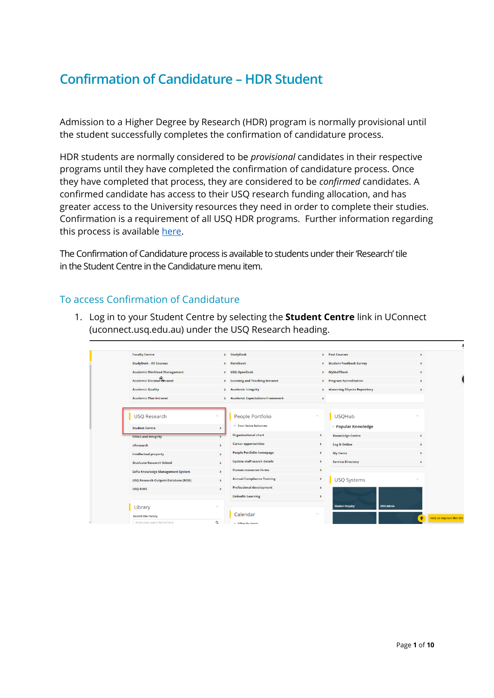## **Confirmation of Candidature – HDR Student**

Admission to a Higher Degree by Research (HDR) program is normally provisional until the student successfully completes the confirmation of candidature process.

HDR students are normally considered to be *provisional* candidates in their respective programs until they have completed the confirmation of candidature process. Once they have completed that process, they are considered to be *confirmed* candidates. A confirmed candidate has access to their USQ research funding allocation, and has greater access to the University resources they need in order to complete their studies. Confirmation is a requirement of all USQ HDR programs. Further information regarding this process is available [here.](https://www.usq.edu.au/research/graduate-research-school/current-hdr-students/managing-candidature/candidature)

The Confirmation of Candidature process is available to students under their 'Research' tile in the Student Centre in the Candidature menu item.

## To access Confirmation of Candidature

1. Log in to your Student Centre by selecting the **Student Centre** link in UConnect (uconnect.usq.edu.au) under the USQ Research heading.

| <b>Faculty Centre</b>                      |                 | > StudyDesk                        | $\rightarrow$               | <b>Past Courses</b>               | ×                           |                           |
|--------------------------------------------|-----------------|------------------------------------|-----------------------------|-----------------------------------|-----------------------------|---------------------------|
| <b>StudyDesk - All Courses</b>             |                 | > Handbook                         |                             | > Student Feedback Survey         | ×                           |                           |
| <b>Academic Workload Management</b>        |                 | > USQ OpenDesk                     |                             | > MyStaffDesk                     | $\lambda$                   |                           |
| <b>Academic Division Thtranet</b>          |                 | > Learning and Teaching Intranet   |                             | > Program Accreditation           | $\lambda$                   |                           |
| <b>Academic Quality</b>                    |                 | > Academic Integrity               | $\rightarrow$               | eLearning Objects Repository      | ٠                           |                           |
| <b>Academic Plan Intranet</b>              |                 | > Academic Expectations Framework  | $\rightarrow$               |                                   |                             |                           |
|                                            |                 |                                    |                             |                                   |                             |                           |
| <b>USQ Research</b>                        |                 | People Portfolio                   | $\mathcal{L}_{\mathcal{N}}$ | <b>USQHub</b>                     | $\mathcal{N}_\mathrm{b}$    |                           |
| <b>Student Centre</b>                      | $\rightarrow$   | A Your leave balances              |                             | <b><i>v</i></b> Popular Knowledge |                             |                           |
| <b>Ethics and integrity</b>                |                 | <b>Organisational chart</b>        | $\rightarrow$               | <b>Knowledge Centre</b>           | $\rightarrow$               |                           |
| eResearch                                  | $\rightarrow$   | <b>Career opportunities</b>        | $\rightarrow$               | <b>Log It Online</b>              | ٠                           |                           |
| <b>Intellectual property</b>               | $\rightarrow$   | <b>People Portfolio homepage</b>   | $\rightarrow$               | My Items                          | $\rightarrow$               |                           |
| <b>Graduate Research School</b>            | $\rightarrow$   | <b>Update staff search details</b> | $\rightarrow$               | <b>Service Directory</b>          | ×                           |                           |
| Sofia Knowledge Management System          | $\rightarrow$   | <b>Human resources forms</b>       | $\rightarrow$               |                                   |                             |                           |
| <b>USQ Research Outputs Database (ROD)</b> | $\rightarrow$   | <b>Annual Compliance Training</b>  | $\rightarrow$               | <b>USQ Systems</b>                | $\mathcal{L}_{\mathcal{N}}$ |                           |
| <b>USO RIMS</b>                            | $\rightarrow$   | <b>Professional development</b>    | ۰                           |                                   |                             |                           |
|                                            |                 | <b>LinkedIn Learning</b>           | $\rightarrow$               |                                   |                             |                           |
| Library                                    | $\mathcal{N}_n$ |                                    |                             | <b>Student Enquiry</b>            | <b>USQ Admin</b>            |                           |
| <b>Search the library</b>                  |                 | Calendar                           |                             |                                   | ✦                           | Help us improve this site |
| Enter your search terms here.              | $\alpha$        | <b>Eilter by tonic</b>             |                             |                                   |                             |                           |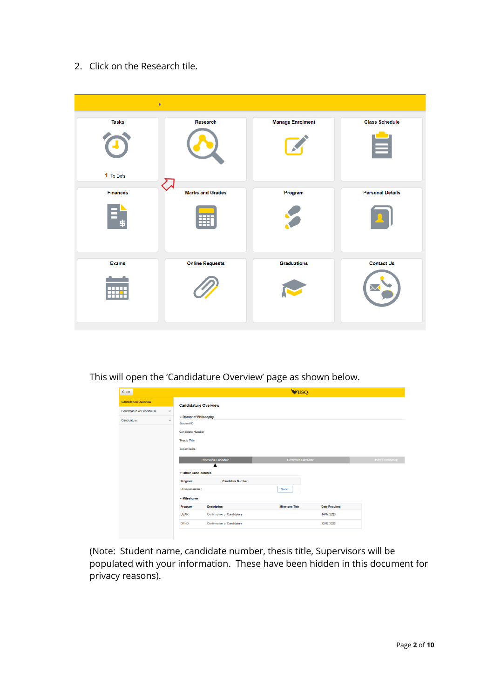2. Click on the Research tile.



This will open the 'Candidature Overview' page as shown below.

| $\leq$ Exit                        |                                    | WUSQ                           |                            |                      |                   |
|------------------------------------|------------------------------------|--------------------------------|----------------------------|----------------------|-------------------|
| <b>Candidature Overview</b>        |                                    | <b>Candidature Overview</b>    |                            |                      |                   |
| <b>Confirmation of Candidature</b> | $\checkmark$                       |                                |                            |                      |                   |
| Candidature                        | $\checkmark$<br><b>Student ID</b>  | - Doctor of Philosophy         |                            |                      |                   |
|                                    | <b>Candidate Number</b>            |                                |                            |                      |                   |
|                                    | <b>Thesis Title</b>                |                                |                            |                      |                   |
|                                    | Supervisors                        |                                |                            |                      |                   |
|                                    |                                    | <b>Provisional Candidate</b>   | <b>Confirmed Candidate</b> |                      | Under Examination |
|                                    |                                    | ▴<br>$\div$ Other Candidatures |                            |                      |                   |
|                                    | Program                            | <b>Candidate Number</b>        |                            |                      |                   |
|                                    | <b>DBusinessAdmin</b>              |                                | Switch                     |                      |                   |
|                                    | $\overline{\mathbf{v}}$ Milestones |                                |                            |                      |                   |
|                                    | Program                            | <b>Description</b>             | <b>Milestone Title</b>     | <b>Date Required</b> |                   |
|                                    | <b>DBAR</b>                        | Confirmation of Candidature    |                            | 14/07/2020           |                   |
|                                    | <b>DPHD</b>                        | Confirmation of Candidature    |                            | 22/02/2022           |                   |
|                                    |                                    |                                |                            |                      |                   |

(Note: Student name, candidate number, thesis title, Supervisors will be populated with your information. These have been hidden in this document for privacy reasons).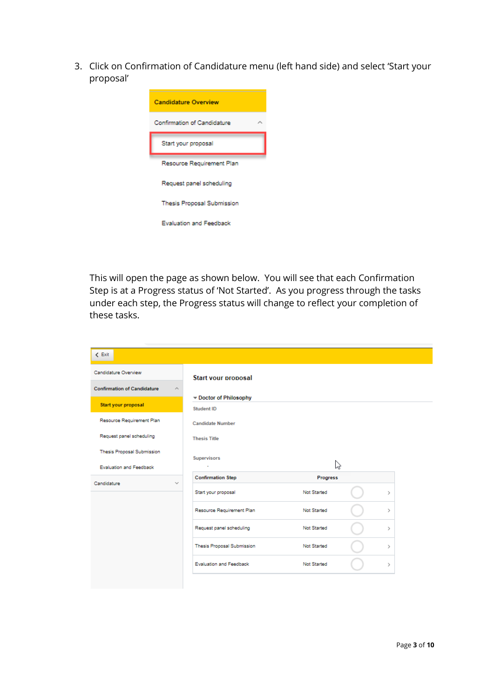3. Click on Confirmation of Candidature menu (left hand side) and select 'Start your proposal'



This will open the page as shown below. You will see that each Confirmation Step is at a Progress status of 'Not Started'. As you progress through the tasks under each step, the Progress status will change to reflect your completion of these tasks.

| $\leq$ Exit                        |                                    |             |  |               |  |
|------------------------------------|------------------------------------|-------------|--|---------------|--|
| Candidature Overview               | <b>Start vour proposal</b>         |             |  |               |  |
| <b>Confirmation of Candidature</b> | $\mathcal{N}_\mathrm{L}$           |             |  |               |  |
| Start your proposal                | Doctor of Philosophy<br>Student ID |             |  |               |  |
| Resource Requirement Plan          | <b>Candidate Number</b>            |             |  |               |  |
| Request panel scheduling           | <b>Thesis Title</b>                |             |  |               |  |
| Thesis Proposal Submission         |                                    |             |  |               |  |
| <b>Evaluation and Feedback</b>     | <b>Supervisors</b><br>$\mathbf{r}$ | な           |  |               |  |
| Candidature                        | <b>Confirmation Step</b><br>$\sim$ | Progress    |  |               |  |
|                                    | Start your proposal                | Not Started |  | Y.            |  |
|                                    | Resource Requirement Plan          | Not Started |  | ž.            |  |
|                                    | Request panel scheduling           | Not Started |  | >             |  |
|                                    | Thesis Proposal Submission         | Not Started |  | $\mathcal{P}$ |  |
|                                    | Evaluation and Feedback            | Not Started |  | >             |  |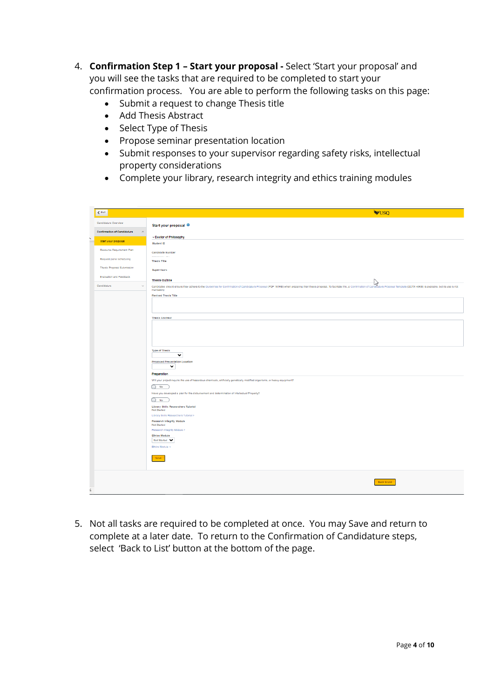- 4. **Confirmation Step 1 – Start your proposal -** Select 'Start your proposal' and you will see the tasks that are required to be completed to start your confirmation process. You are able to perform the following tasks on this page:
	- Submit a request to change Thesis title
	- Add Thesis Abstract
	- Select Type of Thesis
	- Propose seminar presentation location
	- Submit responses to your supervisor regarding safety risks, intellectual property considerations
	- Complete your library, research integrity and ethics training modules

| $\langle$ Exit                        | <b>WUSO</b>                                                                                                                                                                                                                                  |  |
|---------------------------------------|----------------------------------------------------------------------------------------------------------------------------------------------------------------------------------------------------------------------------------------------|--|
| Candidature Overview                  | Start your proposal 0                                                                                                                                                                                                                        |  |
| Confirmation of Candidature<br>$\sim$ |                                                                                                                                                                                                                                              |  |
| <b>Start your proposal</b>            | - Doctor of Philosophy<br>Student ID                                                                                                                                                                                                         |  |
| Resource Requirement Plan             | <b>Candidate Number</b>                                                                                                                                                                                                                      |  |
| Request panel scheduling              | ----------<br>Thesis Title                                                                                                                                                                                                                   |  |
| Thesis Proposal Submission            | <b>Supervisors</b>                                                                                                                                                                                                                           |  |
| Evaluation and Feedback               | <b>Thesis Outline</b>                                                                                                                                                                                                                        |  |
| Candidature<br>$\sim$                 | Candidates should ensure they adhere to the Culdistics for Confirmation of Candidature Proposal (PDF 161KB) when preparing thair thesis proposal. To facilitate the, a Confirmation of Condition Proposal Templates (DDTX 45KB<br>mandatory. |  |
|                                       | Revised Thesis Title                                                                                                                                                                                                                         |  |
|                                       |                                                                                                                                                                                                                                              |  |
|                                       | <b>Thesis Abstract</b>                                                                                                                                                                                                                       |  |
|                                       |                                                                                                                                                                                                                                              |  |
|                                       |                                                                                                                                                                                                                                              |  |
|                                       |                                                                                                                                                                                                                                              |  |
|                                       | Type of Thecic<br>$\checkmark$                                                                                                                                                                                                               |  |
|                                       | Proposed Presentation Location                                                                                                                                                                                                               |  |
|                                       | v<br>Preparation                                                                                                                                                                                                                             |  |
|                                       | Will your project require the use of hazardous chemicals, artificially genetically modified organisms, or heavy equipment?                                                                                                                   |  |
|                                       | $\bigcirc$ No                                                                                                                                                                                                                                |  |
|                                       | Have you developed a plan for the disbursement and determination of Intellectual Property?<br>$\bigcirc$ No                                                                                                                                  |  |
|                                       | Library Skills Researchers Tutorial<br>Not Started                                                                                                                                                                                           |  |
|                                       | Library Skills Researchers Tutorial >                                                                                                                                                                                                        |  |
|                                       | Research Integrity Module<br>Not Started                                                                                                                                                                                                     |  |
|                                       | Research Integrity Module ><br><b>Ethios Module</b>                                                                                                                                                                                          |  |
|                                       | Not Started V<br>Ethics Module >                                                                                                                                                                                                             |  |
|                                       |                                                                                                                                                                                                                                              |  |
|                                       | Save                                                                                                                                                                                                                                         |  |
|                                       |                                                                                                                                                                                                                                              |  |
|                                       | Back to List                                                                                                                                                                                                                                 |  |
|                                       |                                                                                                                                                                                                                                              |  |

5. Not all tasks are required to be completed at once. You may Save and return to complete at a later date. To return to the Confirmation of Candidature steps, select 'Back to List' button at the bottom of the page.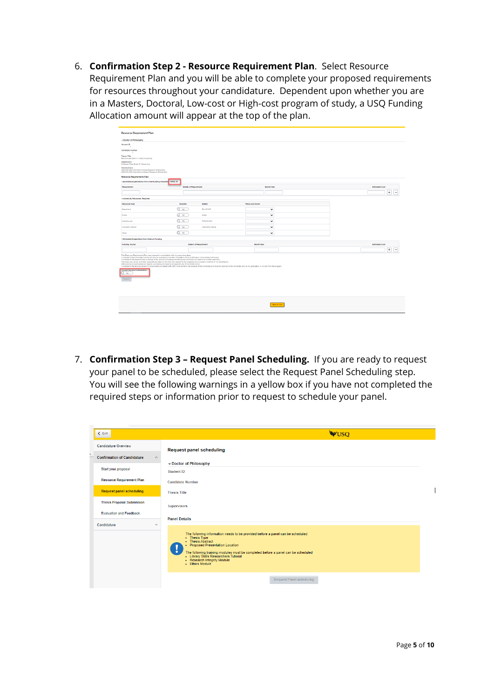6. **Confirmation Step 2 - Resource Requirement Plan**. Select Resource Requirement Plan and you will be able to complete your proposed requirements for resources throughout your candidature. Dependent upon whether you are in a Masters, Doctoral, Low-cost or High-cost program of study, a USQ Funding Allocation amount will appear at the top of the plan.



7. **Confirmation Step 3 – Request Panel Scheduling.** If you are ready to request your panel to be scheduled, please select the Request Panel Scheduling step. You will see the following warnings in a yellow box if you have not completed the required steps or information prior to request to schedule your panel.

| $\leq$ Exit                                                                | <b>WUSQ</b>                                                                                                                                                                                                                                                                                                                                  |  |
|----------------------------------------------------------------------------|----------------------------------------------------------------------------------------------------------------------------------------------------------------------------------------------------------------------------------------------------------------------------------------------------------------------------------------------|--|
| <b>Candidature Overview</b>                                                | <b>Request panel scheduling</b>                                                                                                                                                                                                                                                                                                              |  |
| $\overline{\phantom{a}}$<br><b>Confirmation of Candidature</b><br>$\wedge$ |                                                                                                                                                                                                                                                                                                                                              |  |
| Start your proposal                                                        | -Doctor of Philosophy<br>Student ID                                                                                                                                                                                                                                                                                                          |  |
| <b>Resource Requirement Plan</b>                                           | <b>Candidate Number</b>                                                                                                                                                                                                                                                                                                                      |  |
| <b>Request panel scheduling</b>                                            | <b>Thesis Title</b>                                                                                                                                                                                                                                                                                                                          |  |
| <b>Thesis Proposal Submission</b>                                          | <b>Supervisors</b>                                                                                                                                                                                                                                                                                                                           |  |
| <b>Evaluation and Feedback</b>                                             | <b>Panel Details</b>                                                                                                                                                                                                                                                                                                                         |  |
| Candidature<br>$\checkmark$                                                |                                                                                                                                                                                                                                                                                                                                              |  |
|                                                                            | The following information needs to be provided before a panel can be scheduled<br>- Thesis Type<br>- Thesis Abstract<br>• Proposed Presentation Location<br>V<br>The following training modules must be completed before a panel can be scheduled<br>- Library Skills Researchers Tutorial<br>- Research Integrity Module<br>- Ethics Module |  |
|                                                                            | Request Panel scheduling                                                                                                                                                                                                                                                                                                                     |  |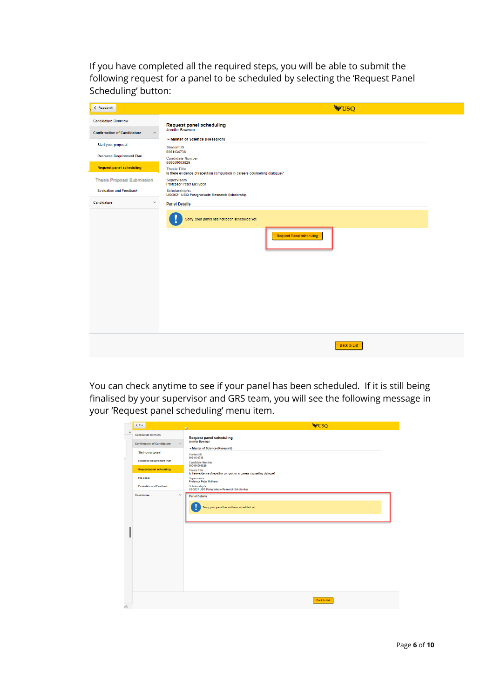If you have completed all the required steps, you will be able to submit the following request for a panel to be scheduled by selecting the 'Request Panel Scheduling' button:

| < Research                                    | <b>WUSQ</b>                                                                                       |
|-----------------------------------------------|---------------------------------------------------------------------------------------------------|
| <b>Candidature Overview</b>                   | <b>Request panel scheduling</b>                                                                   |
| <b>Confirmation of Candidature</b><br>$\land$ | Jennifer Bowman                                                                                   |
| Start your proposal                           | -Master of Science (Research)<br><b>Student ID</b>                                                |
| <b>Resource Requirement Plan</b>              | 0061134738<br><b>Candidate Number</b>                                                             |
| <b>Request panel scheduling</b>               | 000000003829<br><b>Thesis Title</b>                                                               |
| Thesis Proposal Submission                    | Is there evidence of repetition compulsion in careers counselling dialogue?<br><b>Supervisors</b> |
| <b>Evaluation and Feedback</b>                | Professor Peter McIlveen<br>Scholarship/s:<br>USQ021 USQ Postgraduate Research Scholarship        |
| $\checkmark$<br>Candidature                   | <b>Panel Details</b>                                                                              |
|                                               | Sorry, your panel has not been scheduled yet.<br><b>Request Panel scheduling</b>                  |
|                                               |                                                                                                   |

You can check anytime to see if your panel has been scheduled. If it is still being finalised by your supervisor and GRS team, you will see the following message in your 'Request panel scheduling' menu item.

|              | $<$ Exit                                                      | <b>WUSO</b><br>$\overline{\mathbb{Q}}$                                                            |
|--------------|---------------------------------------------------------------|---------------------------------------------------------------------------------------------------|
| $\checkmark$ | Candidature Overview                                          | <b>Request panel scheduling</b>                                                                   |
|              | <b>Confirmation of Candidature</b><br>$\widehat{\phantom{a}}$ | Jennifer Bowman                                                                                   |
|              | Start your proposal                                           | -Master of Science (Research)<br><b>Student ID</b>                                                |
|              | <b>Resource Requirement Plan</b>                              | 0061134738<br><b>Candidate Number</b>                                                             |
|              | <b>Request panel scheduling</b>                               | 000000003829<br><b>Thesis Title</b>                                                               |
|              | Pre-panel                                                     | Is there evidence of repetition compulsion in careers counselling dialogue?<br><b>Supervisors</b> |
|              | <b>Evaluation and Feedback</b>                                | Professor Peter McIlveen<br>Scholarship/s:<br>USQ021 USQ Postgraduate Research Scholarship        |
|              | Candidature<br>$\checkmark$                                   | <b>Panel Details</b>                                                                              |
|              |                                                               | Sorry, your panel has not been scheduled yet.                                                     |
|              |                                                               |                                                                                                   |
|              |                                                               |                                                                                                   |
| $n +$        |                                                               | Back to List                                                                                      |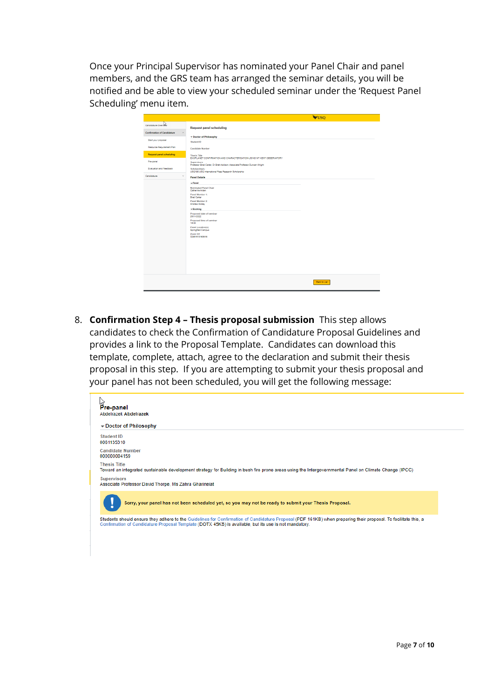Once your Principal Supervisor has nominated your Panel Chair and panel members, and the GRS team has arranged the seminar details, you will be notified and be able to view your scheduled seminar under the 'Request Panel Scheduling' menu item.

|                                    | <b>WUSO</b>                                                                                                                                                                                                                                                                                                               |
|------------------------------------|---------------------------------------------------------------------------------------------------------------------------------------------------------------------------------------------------------------------------------------------------------------------------------------------------------------------------|
| Candidature Overvisi               | <b>Request panel scheduling</b>                                                                                                                                                                                                                                                                                           |
| <b>Confirmation of Candidature</b> | $\widehat{\phantom{a}}$                                                                                                                                                                                                                                                                                                   |
| Start your proposal                | - Doctor of Philosophy<br>Student ID                                                                                                                                                                                                                                                                                      |
| Resource Requirement Plan          | <b>Candidate Number</b>                                                                                                                                                                                                                                                                                                   |
| <b>Request panel scheduling</b>    | <b>Thesis Title</b>                                                                                                                                                                                                                                                                                                       |
| Pre-canel                          | EXOPLANET CONFIRMATION AND CHARACTERISATION USING MT KENT OBSERVATORY                                                                                                                                                                                                                                                     |
|                                    | <b>Supervisors</b><br>Professor Brad Carter, Dr Brett Addison, Associate Professor Duncan Wright                                                                                                                                                                                                                          |
| Evaluation and Feedback            | Scholarship/s:<br>USQ198 USQ International Fees Research Scholarship                                                                                                                                                                                                                                                      |
| Candidature                        | $\checkmark$<br><b>Panel Details</b>                                                                                                                                                                                                                                                                                      |
|                                    | $-$ Panel<br><b>Nominated Panel Chair</b><br>Catherine Arden<br>Panel Member 1:<br><b>Read Carter</b><br>Panel Member 2:<br>Andrew Hickey<br>$\mathbf{v}$ Booking<br>Proposed date of seminar<br>26/01/2022<br>Proposed time of seminar<br>14:00<br>Panel Location(s)<br>Springfield Campus<br>Zoom Url<br>32451513163616 |
|                                    | Back to List                                                                                                                                                                                                                                                                                                              |

8. **Confirmation Step 4 – Thesis proposal submission** This step allows candidates to check the Confirmation of Candidature Proposal Guidelines and provides a link to the Proposal Template. Candidates can download this template, complete, attach, agree to the declaration and submit their thesis proposal in this step. If you are attempting to submit your thesis proposal and your panel has not been scheduled, you will get the following message:

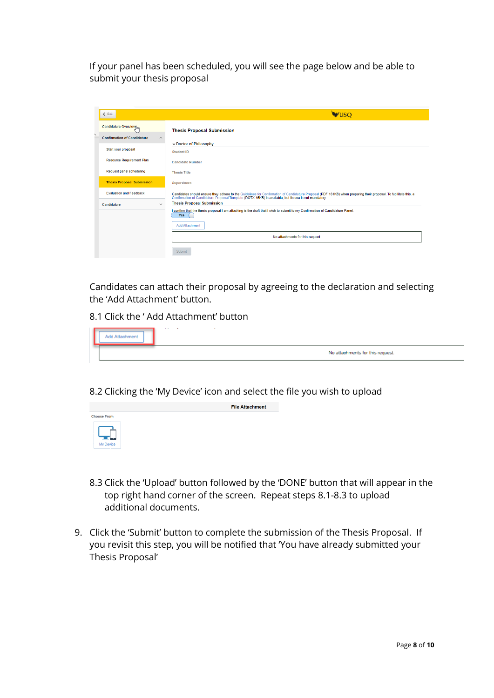If your panel has been scheduled, you will see the page below and be able to submit your thesis proposal

| $\leq$ Exit                                                   | <b>WUSO</b>                                                                                                                                                                                                                                                               |  |  |
|---------------------------------------------------------------|---------------------------------------------------------------------------------------------------------------------------------------------------------------------------------------------------------------------------------------------------------------------------|--|--|
| Candidature Overview <sub>ilm</sub>                           | <b>Thesis Proposal Submission</b>                                                                                                                                                                                                                                         |  |  |
| <b>Confirmation of Candidature</b><br>$\widehat{\phantom{a}}$ |                                                                                                                                                                                                                                                                           |  |  |
| Start your proposal                                           | Doctor of Philosophy<br><b>Student ID</b>                                                                                                                                                                                                                                 |  |  |
| <b>Resource Requirement Plan</b>                              | <b>Candidate Number</b>                                                                                                                                                                                                                                                   |  |  |
| Request panel scheduling                                      | <b>Thesis Title</b>                                                                                                                                                                                                                                                       |  |  |
| <b>Thesis Proposal Submission</b>                             | <b>Supervisors</b>                                                                                                                                                                                                                                                        |  |  |
| <b>Evaluation and Feedback</b>                                | Candidates should ensure they adhere to the Guidelines for Confirmation of Candidature Proposal (PDF 161KB) when preparing their proposal. To facilitate this, a<br>Confirmation of Candidature Proposal Template (DOTX 45KB) is available, but its use is not mandatory. |  |  |
| $\checkmark$<br>Candidature                                   | <b>Thesis Proposal Submission</b>                                                                                                                                                                                                                                         |  |  |
|                                                               | I confirm that the thesis proposal I am attaching is the draft that I wish to submit to my Confirmation of Candidature Panel.<br><b>Yes</b>                                                                                                                               |  |  |
|                                                               | <b>Add Attachment</b>                                                                                                                                                                                                                                                     |  |  |
|                                                               | No attachments for this request.                                                                                                                                                                                                                                          |  |  |
|                                                               | Submit                                                                                                                                                                                                                                                                    |  |  |

Candidates can attach their proposal by agreeing to the declaration and selecting the 'Add Attachment' button.

8.1 Click the ' Add Attachment' button

|  | <b>Service</b><br>$\sim$         |
|--|----------------------------------|
|  | No attachments for this request. |

8.2 Clicking the 'My Device' icon and select the file you wish to upload

**File Attachment** 

| <b>Choose From</b> |  |  |  |  |  |
|--------------------|--|--|--|--|--|
|                    |  |  |  |  |  |
|                    |  |  |  |  |  |
| My Device          |  |  |  |  |  |
|                    |  |  |  |  |  |

- 8.3 Click the 'Upload' button followed by the 'DONE' button that will appear in the top right hand corner of the screen. Repeat steps 8.1-8.3 to upload additional documents.
- 9. Click the 'Submit' button to complete the submission of the Thesis Proposal. If you revisit this step, you will be notified that 'You have already submitted your Thesis Proposal'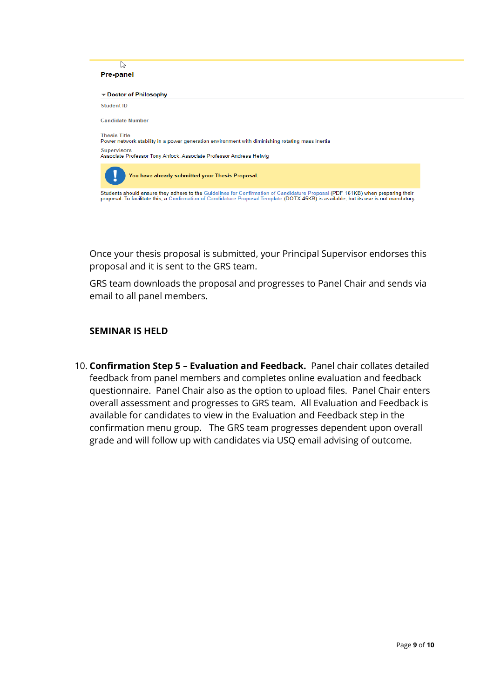

Once your thesis proposal is submitted, your Principal Supervisor endorses this proposal and it is sent to the GRS team.

GRS team downloads the proposal and progresses to Panel Chair and sends via email to all panel members.

### **SEMINAR IS HELD**

10. **Confirmation Step 5 – Evaluation and Feedback.** Panel chair collates detailed feedback from panel members and completes online evaluation and feedback questionnaire. Panel Chair also as the option to upload files. Panel Chair enters overall assessment and progresses to GRS team. All Evaluation and Feedback is available for candidates to view in the Evaluation and Feedback step in the confirmation menu group. The GRS team progresses dependent upon overall grade and will follow up with candidates via USQ email advising of outcome.